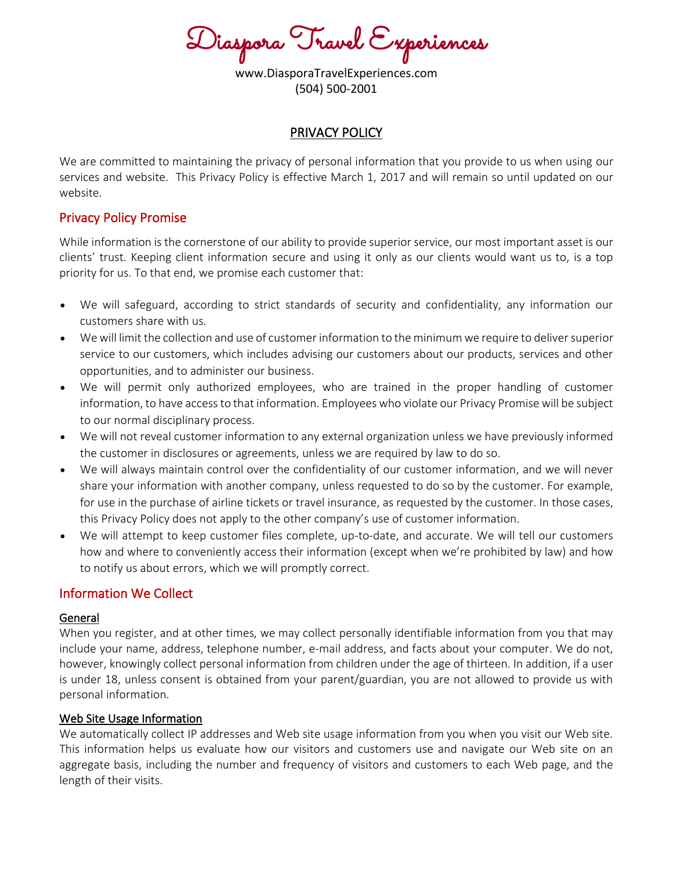Diaspora Travel Experiences

www.DiasporaTravelExperiences.com (504) 500-2001

#### PRIVACY POLICY

We are committed to maintaining the privacy of personal information that you provide to us when using our services and website. This Privacy Policy is effective March 1, 2017 and will remain so until updated on our website.

## Privacy Policy Promise

While information is the cornerstone of our ability to provide superior service, our most important asset is our clients' trust. Keeping client information secure and using it only as our clients would want us to, is a top priority for us. To that end, we promise each customer that:

- We will safeguard, according to strict standards of security and confidentiality, any information our customers share with us.
- We will limit the collection and use of customer information to the minimum we require to deliver superior service to our customers, which includes advising our customers about our products, services and other opportunities, and to administer our business.
- We will permit only authorized employees, who are trained in the proper handling of customer information, to have access to that information. Employees who violate our Privacy Promise will be subject to our normal disciplinary process.
- We will not reveal customer information to any external organization unless we have previously informed the customer in disclosures or agreements, unless we are required by law to do so.
- We will always maintain control over the confidentiality of our customer information, and we will never share your information with another company, unless requested to do so by the customer. For example, for use in the purchase of airline tickets or travel insurance, as requested by the customer. In those cases, this Privacy Policy does not apply to the other company's use of customer information.
- We will attempt to keep customer files complete, up-to-date, and accurate. We will tell our customers how and where to conveniently access their information (except when we're prohibited by law) and how to notify us about errors, which we will promptly correct.

## Information We Collect

#### General

When you register, and at other times, we may collect personally identifiable information from you that may include your name, address, telephone number, e-mail address, and facts about your computer. We do not, however, knowingly collect personal information from children under the age of thirteen. In addition, if a user is under 18, unless consent is obtained from your parent/guardian, you are not allowed to provide us with personal information.

#### Web Site Usage Information

We automatically collect IP addresses and Web site usage information from you when you visit our Web site. This information helps us evaluate how our visitors and customers use and navigate our Web site on an aggregate basis, including the number and frequency of visitors and customers to each Web page, and the length of their visits.